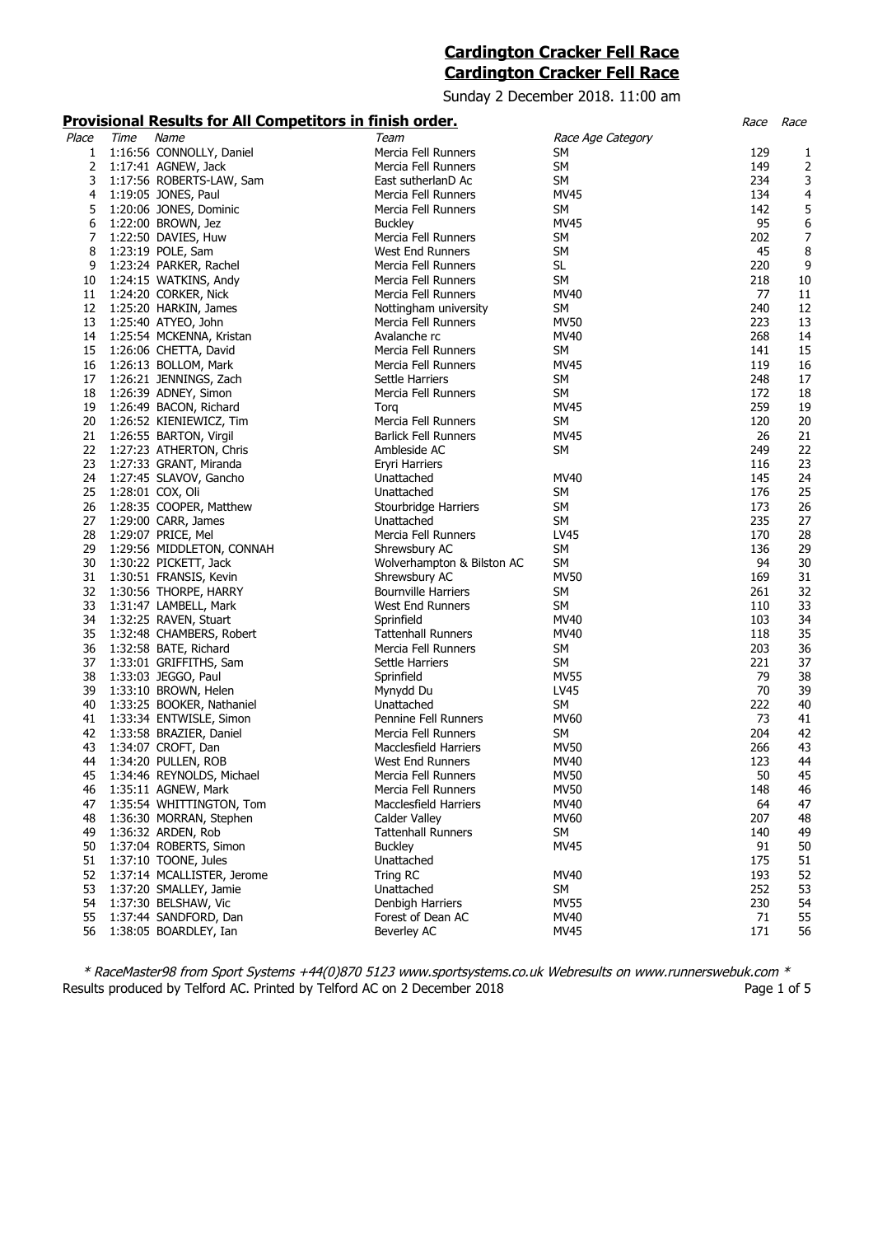# **Cardington Cracker Fell Race Cardington Cracker Fell Race**

Sunday 2 December 2018. 11:00 am

# **Provisional Results for All Competitors in finish order.** Race Race

| .     | .    | <u> </u>                   | <u> </u>                    |                   |     |                |
|-------|------|----------------------------|-----------------------------|-------------------|-----|----------------|
| Place | Time | Name                       | Team                        | Race Age Category |     |                |
| 1     |      | 1:16:56 CONNOLLY, Daniel   | Mercia Fell Runners         | SM                | 129 | 1              |
| 2     |      | 1:17:41 AGNEW, Jack        | Mercia Fell Runners         | <b>SM</b>         | 149 | 2              |
| 3     |      | 1:17:56 ROBERTS-LAW, Sam   | East sutherlanD Ac          | SM                | 234 | 3              |
| 4     |      | 1:19:05 JONES, Paul        | Mercia Fell Runners         | <b>MV45</b>       | 134 | $\overline{4}$ |
| 5     |      | 1:20:06 JONES, Dominic     | Mercia Fell Runners         | SM                | 142 | 5              |
| 6     |      | 1:22:00 BROWN, Jez         | <b>Buckley</b>              | MV45              | 95  | 6              |
| 7     |      | 1:22:50 DAVIES, Huw        | Mercia Fell Runners         | SM                | 202 | 7              |
|       |      |                            |                             |                   | 45  |                |
| 8     |      | 1:23:19 POLE, Sam          | West End Runners            | SM                |     | 8              |
| 9     |      | 1:23:24 PARKER, Rachel     | Mercia Fell Runners         | <b>SL</b>         | 220 | 9              |
| 10    |      | 1:24:15 WATKINS, Andy      | Mercia Fell Runners         | <b>SM</b>         | 218 | 10             |
| 11    |      | 1:24:20 CORKER, Nick       | Mercia Fell Runners         | MV40              | 77  | 11             |
| 12    |      | 1:25:20 HARKIN, James      | Nottingham university       | SM                | 240 | 12             |
| 13    |      | 1:25:40 ATYEO, John        | Mercia Fell Runners         | <b>MV50</b>       | 223 | 13             |
| 14    |      | 1:25:54 MCKENNA, Kristan   | Avalanche rc                | MV40              | 268 | 14             |
| 15    |      | 1:26:06 CHETTA, David      | Mercia Fell Runners         | SM                | 141 | 15             |
| 16    |      | 1:26:13 BOLLOM, Mark       | Mercia Fell Runners         | MV45              | 119 | 16             |
| 17    |      | 1:26:21 JENNINGS, Zach     | Settle Harriers             | SM                | 248 | 17             |
| 18    |      | 1:26:39 ADNEY, Simon       | Mercia Fell Runners         | SM                | 172 | 18             |
| 19    |      | 1:26:49 BACON, Richard     | Torq                        | MV45              | 259 | 19             |
| 20    |      | 1:26:52 KIENIEWICZ, Tim    | Mercia Fell Runners         | <b>SM</b>         | 120 | 20             |
| 21    |      | 1:26:55 BARTON, Virgil     | <b>Barlick Fell Runners</b> | MV45              | 26  | 21             |
| 22    |      | 1:27:23 ATHERTON, Chris    | Ambleside AC                | SM                | 249 | 22             |
| 23    |      | 1:27:33 GRANT, Miranda     | Eryri Harriers              |                   | 116 | 23             |
| 24    |      | 1:27:45 SLAVOV, Gancho     | Unattached                  | MV40              | 145 | 24             |
| 25    |      | 1:28:01 COX, Oli           | Unattached                  | SM                | 176 | 25             |
| 26    |      | 1:28:35 COOPER, Matthew    | Stourbridge Harriers        | SM                | 173 | 26             |
| 27    |      | 1:29:00 CARR, James        | Unattached                  | SM                | 235 | 27             |
| 28    |      | 1:29:07 PRICE, Mel         | Mercia Fell Runners         | LV45              | 170 | 28             |
| 29    |      | 1:29:56 MIDDLETON, CONNAH  | Shrewsbury AC               | <b>SM</b>         | 136 | 29             |
| 30    |      | 1:30:22 PICKETT, Jack      | Wolverhampton & Bilston AC  | SM                | 94  | 30             |
| 31    |      |                            |                             | <b>MV50</b>       | 169 | 31             |
|       |      | 1:30:51 FRANSIS, Kevin     | Shrewsbury AC               | <b>SM</b>         | 261 | 32             |
| 32    |      | 1:30:56 THORPE, HARRY      | <b>Bournville Harriers</b>  |                   |     |                |
| 33    |      | 1:31:47 LAMBELL, Mark      | West End Runners            | SM                | 110 | 33             |
| 34    |      | 1:32:25 RAVEN, Stuart      | Sprinfield                  | MV40              | 103 | 34             |
| 35    |      | 1:32:48 CHAMBERS, Robert   | <b>Tattenhall Runners</b>   | MV40              | 118 | 35             |
| 36    |      | 1:32:58 BATE, Richard      | Mercia Fell Runners         | <b>SM</b>         | 203 | 36             |
| 37    |      | 1:33:01 GRIFFITHS, Sam     | Settle Harriers             | SM                | 221 | 37             |
| 38    |      | 1:33:03 JEGGO, Paul        | Sprinfield                  | <b>MV55</b>       | 79  | 38             |
| 39    |      | 1:33:10 BROWN, Helen       | Mynydd Du                   | LV45              | 70  | 39             |
| 40    |      | 1:33:25 BOOKER, Nathaniel  | Unattached                  | SM                | 222 | 40             |
| 41    |      | 1:33:34 ENTWISLE, Simon    | Pennine Fell Runners        | MV60              | 73  | 41             |
| 42    |      | 1:33:58 BRAZIER, Daniel    | Mercia Fell Runners         | SM                | 204 | 42             |
| 43    |      | 1:34:07 CROFT, Dan         | Macclesfield Harriers       | <b>MV50</b>       | 266 | 43             |
| 44    |      | 1:34:20 PULLEN, ROB        | West End Runners            | MV40              | 123 | 44             |
| 45    |      | 1:34:46 REYNOLDS, Michael  | Mercia Fell Runners         | <b>MV50</b>       | 50  | 45             |
| 46    |      | 1:35:11 AGNEW, Mark        | Mercia Fell Runners         | <b>MV50</b>       | 148 | 46             |
| 47    |      | 1:35:54 WHITTINGTON, Tom   | Macclesfield Harriers       | MV40              | 64  | 47             |
| 48    |      | 1:36:30 MORRAN, Stephen    | Calder Valley               | <b>MV60</b>       | 207 | 48             |
| 49    |      | 1:36:32 ARDEN, Rob         | <b>Tattenhall Runners</b>   | SM                | 140 | 49             |
| 50    |      | 1:37:04 ROBERTS, Simon     | <b>Buckley</b>              | <b>MV45</b>       | 91  | 50             |
| 51    |      | 1:37:10 TOONE, Jules       | Unattached                  |                   | 175 | 51             |
| 52    |      | 1:37:14 MCALLISTER, Jerome | Tring RC                    | MV40              | 193 | 52             |
| 53    |      | 1:37:20 SMALLEY, Jamie     | Unattached                  | <b>SM</b>         | 252 | 53             |
|       |      |                            |                             |                   |     |                |
| 54    |      | 1:37:30 BELSHAW, Vic       | Denbigh Harriers            | <b>MV55</b>       | 230 | 54             |
| 55    |      | 1:37:44 SANDFORD, Dan      | Forest of Dean AC           | MV40              | 71  | 55             |
| 56    |      | 1:38:05 BOARDLEY, Ian      | Beverley AC                 | <b>MV45</b>       | 171 | 56             |

\* RaceMaster98 from Sport Systems +44(0)870 5123 www.sportsystems.co.uk Webresults on www.runnerswebuk.com \* Results produced by Telford AC. Printed by Telford AC on 2 December 2018 **Page 1 of 5** Page 1 of 5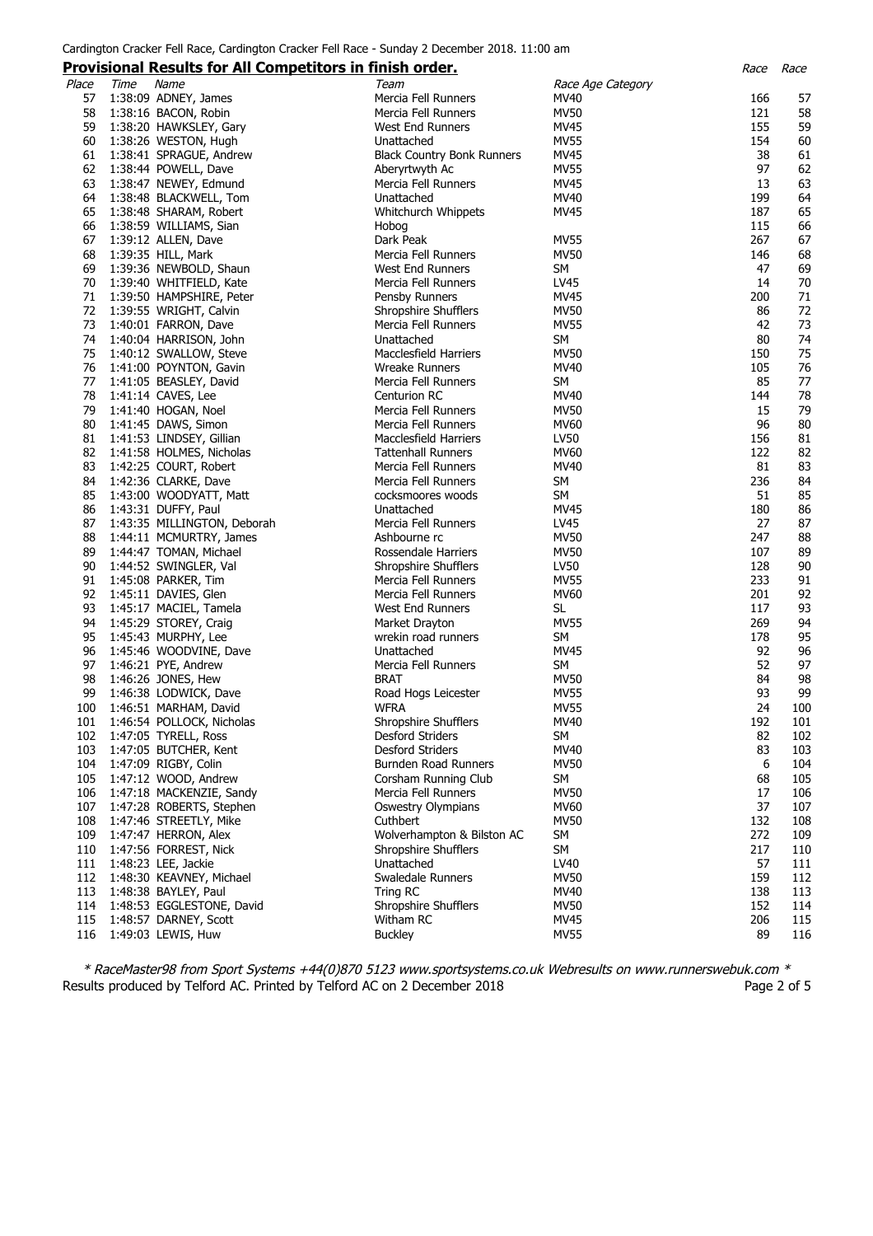### **Provisional Results for All Competitors in finish order.** Race Race

|       |      | <u>Flovisional Results for Air Competitors III Innsh Order.</u> |                                   |                   | Kace | Race |
|-------|------|-----------------------------------------------------------------|-----------------------------------|-------------------|------|------|
| Place | Time | Name                                                            | Team                              | Race Age Category |      |      |
| 57    |      | 1:38:09 ADNEY, James                                            | Mercia Fell Runners               | MV40              | 166  | 57   |
|       |      |                                                                 |                                   | <b>MV50</b>       |      |      |
| 58    |      | 1:38:16 BACON, Robin                                            | Mercia Fell Runners               |                   | 121  | 58   |
| 59    |      | 1:38:20 HAWKSLEY, Gary                                          | West End Runners                  | <b>MV45</b>       | 155  | 59   |
| 60    |      | 1:38:26 WESTON, Hugh                                            | Unattached                        | <b>MV55</b>       | 154  | 60   |
| 61    |      | 1:38:41 SPRAGUE, Andrew                                         | <b>Black Country Bonk Runners</b> | <b>MV45</b>       | 38   | 61   |
|       |      |                                                                 |                                   |                   | 97   |      |
| 62    |      | 1:38:44 POWELL, Dave                                            | Aberyrtwyth Ac                    | <b>MV55</b>       |      | 62   |
| 63    |      | 1:38:47 NEWEY, Edmund                                           | Mercia Fell Runners               | <b>MV45</b>       | 13   | 63   |
| 64    |      | 1:38:48 BLACKWELL, Tom                                          | Unattached                        | MV40              | 199  | 64   |
| 65    |      | 1:38:48 SHARAM, Robert                                          | Whitchurch Whippets               | MV45              | 187  | 65   |
| 66    |      | 1:38:59 WILLIAMS, Sian                                          |                                   |                   | 115  | 66   |
|       |      |                                                                 | Hobog                             |                   |      |      |
| 67    |      | 1:39:12 ALLEN, Dave                                             | Dark Peak                         | MV55              | 267  | 67   |
| 68    |      | 1:39:35 HILL, Mark                                              | Mercia Fell Runners               | <b>MV50</b>       | 146  | 68   |
| 69    |      | 1:39:36 NEWBOLD, Shaun                                          | West End Runners                  | <b>SM</b>         | 47   | 69   |
| 70    |      | 1:39:40 WHITFIELD, Kate                                         | Mercia Fell Runners               | LV45              | 14   | 70   |
|       |      |                                                                 |                                   |                   |      |      |
| 71    |      | 1:39:50 HAMPSHIRE, Peter                                        | Pensby Runners                    | MV45              | 200  | 71   |
| 72    |      | 1:39:55 WRIGHT, Calvin                                          | Shropshire Shufflers              | <b>MV50</b>       | 86   | 72   |
| 73    |      | 1:40:01 FARRON, Dave                                            | Mercia Fell Runners               | <b>MV55</b>       | 42   | 73   |
| 74    |      | 1:40:04 HARRISON, John                                          | Unattached                        | SM                | 80   | 74   |
| 75    |      |                                                                 | Macclesfield Harriers             | <b>MV50</b>       | 150  | 75   |
|       |      | 1:40:12 SWALLOW, Steve                                          |                                   |                   |      |      |
| 76    |      | 1:41:00 POYNTON, Gavin                                          | <b>Wreake Runners</b>             | MV40              | 105  | 76   |
| 77    |      | 1:41:05 BEASLEY, David                                          | Mercia Fell Runners               | <b>SM</b>         | 85   | 77   |
| 78    |      | 1:41:14 CAVES, Lee                                              | Centurion RC                      | MV40              | 144  | 78   |
| 79    |      | 1:41:40 HOGAN, Noel                                             | Mercia Fell Runners               | <b>MV50</b>       | 15   | 79   |
|       |      |                                                                 |                                   |                   |      |      |
| 80    |      | 1:41:45 DAWS, Simon                                             | Mercia Fell Runners               | MV60              | 96   | 80   |
| 81    |      | 1:41:53 LINDSEY, Gillian                                        | <b>Macclesfield Harriers</b>      | <b>LV50</b>       | 156  | 81   |
| 82    |      | 1:41:58 HOLMES, Nicholas                                        | <b>Tattenhall Runners</b>         | <b>MV60</b>       | 122  | 82   |
| 83    |      | 1:42:25 COURT, Robert                                           | Mercia Fell Runners               | MV40              | 81   | 83   |
|       |      |                                                                 | Mercia Fell Runners               | <b>SM</b>         | 236  |      |
| 84    |      | 1:42:36 CLARKE, Dave                                            |                                   |                   |      | 84   |
| 85    |      | 1:43:00 WOODYATT, Matt                                          | cocksmoores woods                 | <b>SM</b>         | 51   | 85   |
| 86    |      | 1:43:31 DUFFY, Paul                                             | Unattached                        | <b>MV45</b>       | 180  | 86   |
| 87    |      | 1:43:35 MILLINGTON, Deborah                                     | Mercia Fell Runners               | LV45              | 27   | 87   |
| 88    |      | 1:44:11 MCMURTRY, James                                         | Ashbourne rc                      | <b>MV50</b>       | 247  | 88   |
|       |      |                                                                 |                                   |                   |      |      |
| 89    |      | 1:44:47 TOMAN, Michael                                          | Rossendale Harriers               | <b>MV50</b>       | 107  | 89   |
| 90    |      | 1:44:52 SWINGLER, Val                                           | Shropshire Shufflers              | <b>LV50</b>       | 128  | 90   |
| 91    |      | 1:45:08 PARKER, Tim                                             | Mercia Fell Runners               | <b>MV55</b>       | 233  | 91   |
| 92    |      | 1:45:11 DAVIES, Glen                                            | Mercia Fell Runners               | <b>MV60</b>       | 201  | 92   |
| 93    |      |                                                                 |                                   |                   | 117  |      |
|       |      | 1:45:17 MACIEL, Tamela                                          | West End Runners                  | SL                |      | 93   |
| 94    |      | 1:45:29 STOREY, Craig                                           | Market Drayton                    | <b>MV55</b>       | 269  | 94   |
| 95    |      | 1:45:43 MURPHY, Lee                                             | wrekin road runners               | <b>SM</b>         | 178  | 95   |
| 96    |      | 1:45:46 WOODVINE, Dave                                          | Unattached                        | MV45              | 92   | 96   |
| 97    |      | 1:46:21 PYE, Andrew                                             | Mercia Fell Runners               | <b>SM</b>         | 52   | 97   |
|       |      |                                                                 |                                   |                   |      |      |
| 98    |      | 1:46:26 JONES, Hew                                              | <b>BRAT</b>                       | <b>MV50</b>       | 84   | 98   |
| 99    |      | 1:46:38 LODWICK, Dave                                           | Road Hogs Leicester               | <b>MV55</b>       | 93   | 99   |
| 100   |      | 1:46:51 MARHAM, David                                           | <b>WFRA</b>                       | <b>MV55</b>       | 24   | 100  |
| 101   |      | 1:46:54 POLLOCK, Nicholas                                       | Shropshire Shufflers              | MV40              | 192  | 101  |
| 102   |      |                                                                 | <b>Desford Striders</b>           | SM                | 82   | 102  |
|       |      | 1:47:05 TYRELL, Ross                                            |                                   |                   |      |      |
| 103   |      | 1:47:05 BUTCHER, Kent                                           | Desford Striders                  | MV40              | 83   | 103  |
| 104   |      | 1:47:09 RIGBY, Colin                                            | Burnden Road Runners              | <b>MV50</b>       | 6    | 104  |
| 105   |      | 1:47:12 WOOD, Andrew                                            | Corsham Running Club              | <b>SM</b>         | 68   | 105  |
| 106   |      | 1:47:18 MACKENZIE, Sandy                                        | Mercia Fell Runners               | <b>MV50</b>       | 17   | 106  |
|       |      |                                                                 |                                   |                   | 37   |      |
| 107   |      | 1:47:28 ROBERTS, Stephen                                        | Oswestry Olympians                | <b>MV60</b>       |      | 107  |
| 108   |      | 1:47:46 STREETLY, Mike                                          | Cuthbert                          | <b>MV50</b>       | 132  | 108  |
| 109   |      | 1:47:47 HERRON, Alex                                            | Wolverhampton & Bilston AC        | SM                | 272  | 109  |
| 110   |      | 1:47:56 FORREST, Nick                                           | Shropshire Shufflers              | <b>SM</b>         | 217  | 110  |
| 111   |      | 1:48:23 LEE, Jackie                                             | Unattached                        | LV40              | 57   | 111  |
|       |      |                                                                 |                                   |                   |      |      |
| 112   |      | 1:48:30 KEAVNEY, Michael                                        | Swaledale Runners                 | <b>MV50</b>       | 159  | 112  |
| 113   |      | 1:48:38 BAYLEY, Paul                                            | Tring RC                          | MV40              | 138  | 113  |
| 114   |      | 1:48:53 EGGLESTONE, David                                       | Shropshire Shufflers              | <b>MV50</b>       | 152  | 114  |
| 115   |      | 1:48:57 DARNEY, Scott                                           | Witham RC                         | <b>MV45</b>       | 206  | 115  |
| 116   |      | 1:49:03 LEWIS, Huw                                              | <b>Buckley</b>                    | <b>MV55</b>       | 89   | 116  |
|       |      |                                                                 |                                   |                   |      |      |

\* RaceMaster98 from Sport Systems +44(0)870 5123 www.sportsystems.co.uk Webresults on www.runnerswebuk.com \* Results produced by Telford AC. Printed by Telford AC on 2 December 2018 **Page 2 of 5** Page 2 of 5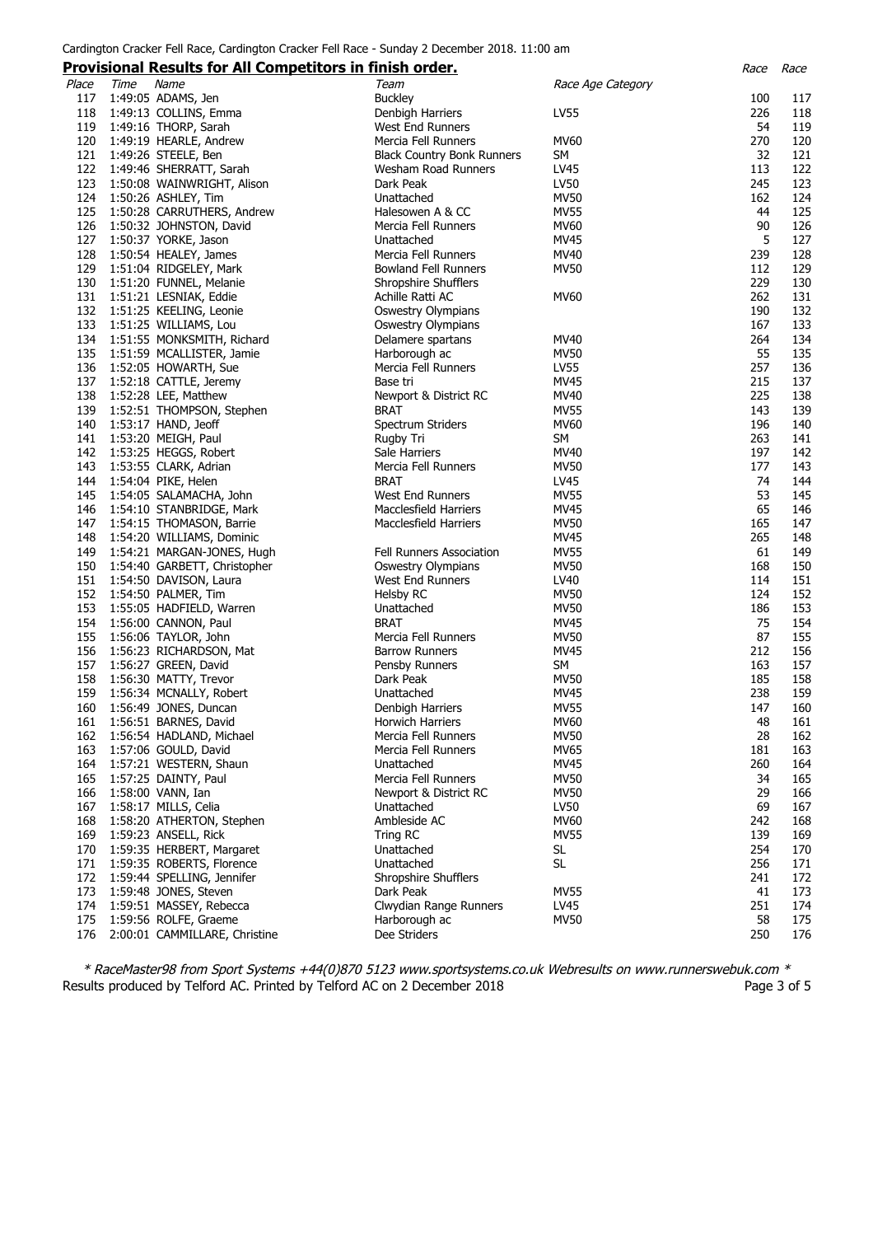### **Provisional Results for All Competitors in finish order.** Race Race

|       |      | <u>Frovisional Results for All Competitors in Innsh order.</u> |                                   |                   | nacc | nacc |
|-------|------|----------------------------------------------------------------|-----------------------------------|-------------------|------|------|
| Place | Time | Name                                                           | Team                              | Race Age Category |      |      |
| 117   |      | 1:49:05 ADAMS, Jen                                             | <b>Buckley</b>                    |                   | 100  | 117  |
| 118   |      | 1:49:13 COLLINS, Emma                                          | Denbigh Harriers                  | LV55              | 226  | 118  |
|       |      |                                                                |                                   |                   | 54   |      |
| 119   |      | 1:49:16 THORP, Sarah                                           | West End Runners                  |                   |      | 119  |
| 120   |      | 1:49:19 HEARLE, Andrew                                         | Mercia Fell Runners               | <b>MV60</b>       | 270  | 120  |
| 121   |      | 1:49:26 STEELE, Ben                                            | <b>Black Country Bonk Runners</b> | <b>SM</b>         | 32   | 121  |
| 122   |      | 1:49:46 SHERRATT, Sarah                                        | Wesham Road Runners               | LV45              | 113  | 122  |
| 123   |      | 1:50:08 WAINWRIGHT, Alison                                     | Dark Peak                         | LV50              | 245  | 123  |
| 124   |      | 1:50:26 ASHLEY, Tim                                            | Unattached                        | <b>MV50</b>       | 162  | 124  |
| 125   |      |                                                                |                                   |                   | 44   |      |
|       |      | 1:50:28 CARRUTHERS, Andrew                                     | Halesowen A & CC                  | <b>MV55</b>       |      | 125  |
| 126   |      | 1:50:32 JOHNSTON, David                                        | Mercia Fell Runners               | <b>MV60</b>       | 90   | 126  |
| 127   |      | 1:50:37 YORKE, Jason                                           | Unattached                        | MV45              | 5    | 127  |
| 128   |      | 1:50:54 HEALEY, James                                          | Mercia Fell Runners               | MV40              | 239  | 128  |
| 129   |      | 1:51:04 RIDGELEY, Mark                                         | <b>Bowland Fell Runners</b>       | <b>MV50</b>       | 112  | 129  |
| 130   |      | 1:51:20 FUNNEL, Melanie                                        | Shropshire Shufflers              |                   | 229  | 130  |
| 131   |      | 1:51:21 LESNIAK, Eddie                                         | Achille Ratti AC                  | <b>MV60</b>       | 262  | 131  |
|       |      |                                                                |                                   |                   |      |      |
| 132   |      | 1:51:25 KEELING, Leonie                                        | Oswestry Olympians                |                   | 190  | 132  |
| 133   |      | 1:51:25 WILLIAMS, Lou                                          | Oswestry Olympians                |                   | 167  | 133  |
| 134   |      | 1:51:55 MONKSMITH, Richard                                     | Delamere spartans                 | MV40              | 264  | 134  |
| 135   |      | 1:51:59 MCALLISTER, Jamie                                      | Harborough ac                     | <b>MV50</b>       | 55   | 135  |
| 136   |      | 1:52:05 HOWARTH, Sue                                           | Mercia Fell Runners               | <b>LV55</b>       | 257  | 136  |
| 137   |      | 1:52:18 CATTLE, Jeremy                                         | Base tri                          | <b>MV45</b>       | 215  | 137  |
| 138   |      | 1:52:28 LEE, Matthew                                           | Newport & District RC             | MV40              | 225  | 138  |
|       |      |                                                                |                                   |                   |      |      |
| 139   |      | 1:52:51 THOMPSON, Stephen                                      | <b>BRAT</b>                       | <b>MV55</b>       | 143  | 139  |
| 140   |      | 1:53:17 HAND, Jeoff                                            | Spectrum Striders                 | MV60              | 196  | 140  |
| 141   |      | 1:53:20 MEIGH, Paul                                            | Rugby Tri                         | SM                | 263  | 141  |
| 142   |      | 1:53:25 HEGGS, Robert                                          | Sale Harriers                     | MV40              | 197  | 142  |
| 143   |      | 1:53:55 CLARK, Adrian                                          | Mercia Fell Runners               | <b>MV50</b>       | 177  | 143  |
| 144   |      | 1:54:04 PIKE, Helen                                            | <b>BRAT</b>                       | LV45              | 74   | 144  |
| 145   |      |                                                                | West End Runners                  | <b>MV55</b>       | 53   | 145  |
|       |      | 1:54:05 SALAMACHA, John                                        |                                   |                   |      |      |
| 146   |      | 1:54:10 STANBRIDGE, Mark                                       | Macclesfield Harriers             | <b>MV45</b>       | 65   | 146  |
| 147   |      | 1:54:15 THOMASON, Barrie                                       | Macclesfield Harriers             | <b>MV50</b>       | 165  | 147  |
| 148   |      | 1:54:20 WILLIAMS, Dominic                                      |                                   | <b>MV45</b>       | 265  | 148  |
| 149   |      | 1:54:21 MARGAN-JONES, Hugh                                     | Fell Runners Association          | <b>MV55</b>       | 61   | 149  |
| 150   |      | 1:54:40 GARBETT, Christopher                                   | <b>Oswestry Olympians</b>         | <b>MV50</b>       | 168  | 150  |
| 151   |      | 1:54:50 DAVISON, Laura                                         | West End Runners                  | LV40              | 114  | 151  |
| 152   |      |                                                                |                                   | MV50              | 124  | 152  |
|       |      | 1:54:50 PALMER, Tim                                            | Helsby RC                         |                   |      |      |
| 153   |      | 1:55:05 HADFIELD, Warren                                       | Unattached                        | <b>MV50</b>       | 186  | 153  |
| 154   |      | 1:56:00 CANNON, Paul                                           | <b>BRAT</b>                       | <b>MV45</b>       | 75   | 154  |
| 155   |      | 1:56:06 TAYLOR, John                                           | Mercia Fell Runners               | <b>MV50</b>       | 87   | 155  |
| 156   |      | 1:56:23 RICHARDSON, Mat                                        | <b>Barrow Runners</b>             | <b>MV45</b>       | 212  | 156  |
| 157   |      | 1:56:27 GREEN, David                                           | Pensby Runners                    | SM                | 163  | 157  |
| 158   |      | 1:56:30 MATTY, Trevor                                          | Dark Peak                         | <b>MV50</b>       | 185  | 158  |
| 159   |      |                                                                | Unattached                        | <b>MV45</b>       | 238  | 159  |
|       |      | 1:56:34 MCNALLY, Robert                                        |                                   |                   |      |      |
| 160   |      | 1:56:49 JONES, Duncan                                          | Denbigh Harriers                  | <b>MV55</b>       | 147  | 160  |
| 161   |      | 1:56:51 BARNES, David                                          | Horwich Harriers                  | <b>MV60</b>       | 48   | 161  |
| 162   |      | 1:56:54 HADLAND, Michael                                       | Mercia Fell Runners               | <b>MV50</b>       | 28   | 162  |
| 163   |      | 1:57:06 GOULD, David                                           | Mercia Fell Runners               | MV65              | 181  | 163  |
| 164   |      | 1:57:21 WESTERN, Shaun                                         | Unattached                        | MV45              | 260  | 164  |
| 165   |      | 1:57:25 DAINTY, Paul                                           | Mercia Fell Runners               | <b>MV50</b>       | 34   | 165  |
| 166   |      |                                                                | Newport & District RC             | <b>MV50</b>       | 29   | 166  |
|       |      | 1:58:00 VANN, Ian                                              |                                   |                   |      |      |
| 167   |      | 1:58:17 MILLS, Celia                                           | Unattached                        | LV50              | 69   | 167  |
| 168   |      | 1:58:20 ATHERTON, Stephen                                      | Ambleside AC                      | MV60              | 242  | 168  |
| 169   |      | 1:59:23 ANSELL, Rick                                           | Tring RC                          | <b>MV55</b>       | 139  | 169  |
| 170   |      | 1:59:35 HERBERT, Margaret                                      | Unattached                        | SL                | 254  | 170  |
| 171   |      | 1:59:35 ROBERTS, Florence                                      | Unattached                        | <b>SL</b>         | 256  | 171  |
| 172   |      | 1:59:44 SPELLING, Jennifer                                     | Shropshire Shufflers              |                   | 241  | 172  |
| 173   |      | 1:59:48 JONES, Steven                                          | Dark Peak                         | <b>MV55</b>       | 41   | 173  |
|       |      |                                                                |                                   |                   |      |      |
| 174   |      | 1:59:51 MASSEY, Rebecca                                        | Clwydian Range Runners            | LV45              | 251  | 174  |
| 175   |      | 1:59:56 ROLFE, Graeme                                          | Harborough ac                     | <b>MV50</b>       | 58   | 175  |
| 176   |      | 2:00:01 CAMMILLARE, Christine                                  | Dee Striders                      |                   | 250  | 176  |

\* RaceMaster98 from Sport Systems +44(0)870 5123 www.sportsystems.co.uk Webresults on www.runnerswebuk.com \* Results produced by Telford AC. Printed by Telford AC on 2 December 2018 **Page 3 of 5** Page 3 of 5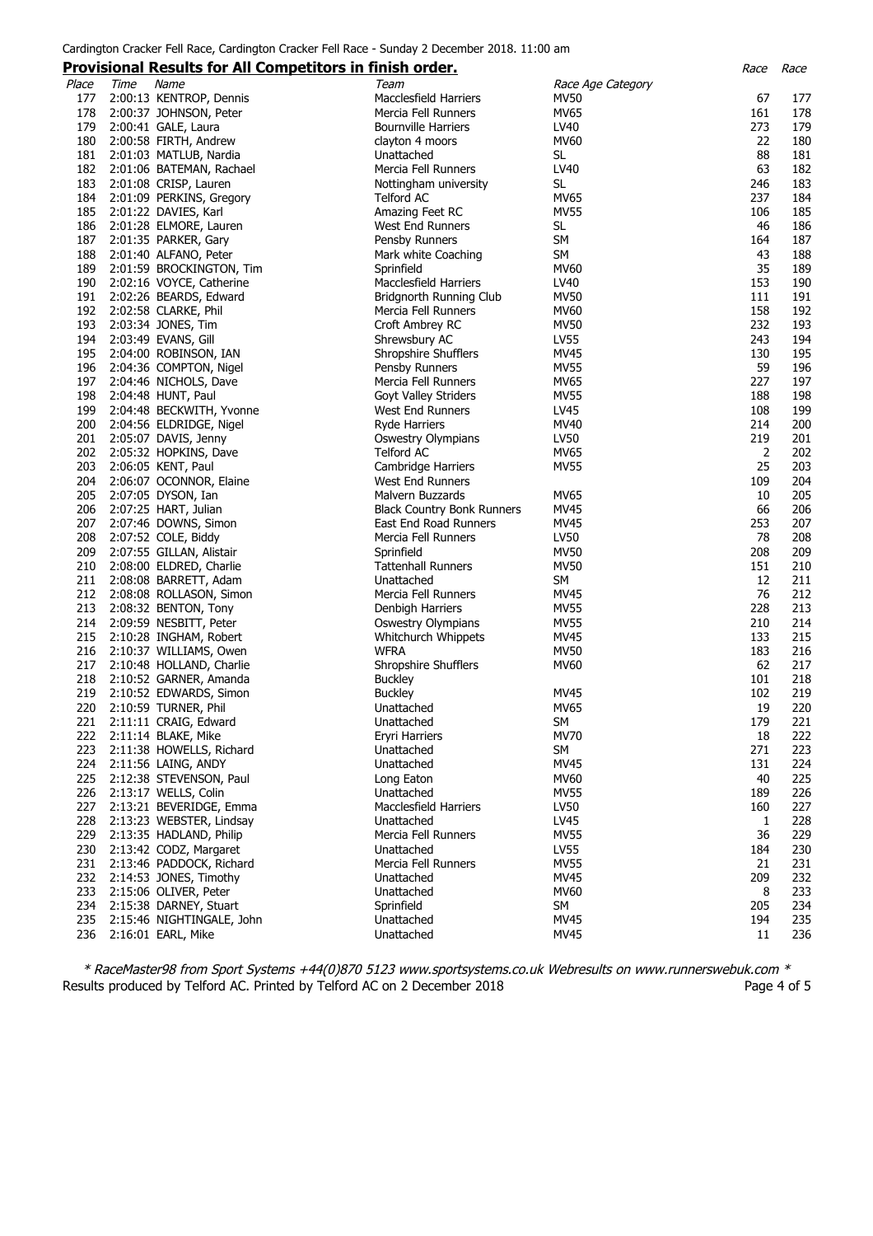|       |      | <b>Provisional Results for All Competitors in finish order.</b> |                                   |                   | Race | Race |
|-------|------|-----------------------------------------------------------------|-----------------------------------|-------------------|------|------|
| Place | Time | Name                                                            | Team                              | Race Age Category |      |      |
| 177   |      | 2:00:13 KENTROP, Dennis                                         | Macclesfield Harriers             | MV50              | 67   | 177  |
| 178   |      | 2:00:37 JOHNSON, Peter                                          | Mercia Fell Runners               | MV65              | 161  | 178  |
| 179   |      | 2:00:41 GALE, Laura                                             | <b>Bournville Harriers</b>        | LV40              | 273  | 179  |
| 180   |      | 2:00:58 FIRTH, Andrew                                           | clayton 4 moors                   | <b>MV60</b>       | 22   | 180  |
| 181   |      | 2:01:03 MATLUB, Nardia                                          | Unattached                        | SL                | 88   | 181  |
| 182   |      | 2:01:06 BATEMAN, Rachael                                        | Mercia Fell Runners               | LV40              | 63   | 182  |
| 183   |      | 2:01:08 CRISP, Lauren                                           | Nottingham university             | SL                | 246  | 183  |
| 184   |      |                                                                 |                                   | <b>MV65</b>       | 237  | 184  |
|       |      | 2:01:09 PERKINS, Gregory                                        | Telford AC                        |                   |      |      |
| 185   |      | 2:01:22 DAVIES, Karl                                            | Amazing Feet RC                   | <b>MV55</b>       | 106  | 185  |
| 186   |      | 2:01:28 ELMORE, Lauren                                          | West End Runners                  | <b>SL</b>         | 46   | 186  |
| 187   |      | 2:01:35 PARKER, Gary                                            | Pensby Runners                    | SM                | 164  | 187  |
| 188   |      | 2:01:40 ALFANO, Peter                                           | Mark white Coaching               | SM                | 43   | 188  |
| 189   |      | 2:01:59 BROCKINGTON, Tim                                        | Sprinfield                        | MV60              | 35   | 189  |
| 190   |      | 2:02:16 VOYCE, Catherine                                        | <b>Macclesfield Harriers</b>      | LV40              | 153  | 190  |
| 191   |      | 2:02:26 BEARDS, Edward                                          | Bridgnorth Running Club           | <b>MV50</b>       | 111  | 191  |
| 192   |      | 2:02:58 CLARKE, Phil                                            | Mercia Fell Runners               | MV60              | 158  | 192  |
| 193   |      | 2:03:34 JONES, Tim                                              | Croft Ambrey RC                   | <b>MV50</b>       | 232  | 193  |
| 194   |      | 2:03:49 EVANS, Gill                                             | Shrewsbury AC                     | LV55              | 243  | 194  |
| 195   |      | 2:04:00 ROBINSON, IAN                                           | Shropshire Shufflers              | MV45              | 130  | 195  |
| 196   |      | 2:04:36 COMPTON, Nigel                                          | Pensby Runners                    | <b>MV55</b>       | 59   | 196  |
| 197   |      | 2:04:46 NICHOLS, Dave                                           | Mercia Fell Runners               | MV65              | 227  | 197  |
| 198   |      | 2:04:48 HUNT, Paul                                              | Goyt Valley Striders              | <b>MV55</b>       | 188  | 198  |
| 199   |      | 2:04:48 BECKWITH, Yvonne                                        | <b>West End Runners</b>           | LV45              | 108  | 199  |
| 200   |      | 2:04:56 ELDRIDGE, Nigel                                         | <b>Ryde Harriers</b>              | MV40              | 214  | 200  |
|       |      | 201 2:05:07 DAVIS, Jenny                                        | Oswestry Olympians                | LV50              | 219  | 201  |
|       |      | 202 2:05:32 HOPKINS, Dave                                       | <b>Telford AC</b>                 | <b>MV65</b>       | 2    | 202  |
| 203   |      | 2:06:05 KENT, Paul                                              | Cambridge Harriers                | <b>MV55</b>       | 25   | 203  |
| 204   |      | 2:06:07 OCONNOR, Elaine                                         | West End Runners                  |                   | 109  | 204  |
| 205   |      | 2:07:05 DYSON, Ian                                              |                                   | MV65              | 10   | 205  |
|       |      |                                                                 | Malvern Buzzards                  | <b>MV45</b>       | 66   | 206  |
| 206   |      | 2:07:25 HART, Julian                                            | <b>Black Country Bonk Runners</b> |                   |      |      |
|       |      | 207 2:07:46 DOWNS, Simon                                        | East End Road Runners             | <b>MV45</b>       | 253  | 207  |
| 208   |      | 2:07:52 COLE, Biddy                                             | Mercia Fell Runners               | LV50              | 78   | 208  |
| 209   |      | 2:07:55 GILLAN, Alistair                                        | Sprinfield                        | <b>MV50</b>       | 208  | 209  |
| 210   |      | 2:08:00 ELDRED, Charlie                                         | <b>Tattenhall Runners</b>         | <b>MV50</b>       | 151  | 210  |
| 211   |      | 2:08:08 BARRETT, Adam                                           | Unattached                        | SM                | 12   | 211  |
|       |      | 212 2:08:08 ROLLASON, Simon                                     | Mercia Fell Runners               | MV45              | 76   | 212  |
| 213   |      | 2:08:32 BENTON, Tony                                            | Denbigh Harriers                  | <b>MV55</b>       | 228  | 213  |
|       |      | 214 2:09:59 NESBITT, Peter                                      | <b>Oswestry Olympians</b>         | <b>MV55</b>       | 210  | 214  |
| 215   |      | 2:10:28 INGHAM, Robert                                          | Whitchurch Whippets               | MV45              | 133  | 215  |
| 216   |      | 2:10:37 WILLIAMS, Owen                                          | <b>WFRA</b>                       | <b>MV50</b>       | 183  | 216  |
|       |      | 217 2:10:48 HOLLAND, Charlie                                    | Shropshire Shufflers              | MV60              | 62   | 217  |
| 218   |      | 2:10:52 GARNER, Amanda                                          | <b>Buckley</b>                    |                   | 101  | 218  |
| 219   |      | 2:10:52 EDWARDS, Simon                                          | <b>Buckley</b>                    | MV45              | 102  | 219  |
| 220   |      | 2:10:59 TURNER, Phil                                            | Unattached                        | MV65              | 19   | 220  |
| 221   |      | 2:11:11 CRAIG, Edward                                           | Unattached                        | SM                | 179  | 221  |
|       |      | 222 2:11:14 BLAKE, Mike                                         | Eryri Harriers                    | <b>MV70</b>       | 18   | 222  |
| 223   |      | 2:11:38 HOWELLS, Richard                                        | Unattached                        | <b>SM</b>         | 271  | 223  |
| 224   |      | 2:11:56 LAING, ANDY                                             | Unattached                        | <b>MV45</b>       | 131  | 224  |
| 225   |      | 2:12:38 STEVENSON, Paul                                         | Long Eaton                        | <b>MV60</b>       | 40   | 225  |
| 226   |      | 2:13:17 WELLS, Colin                                            | Unattached                        | <b>MV55</b>       | 189  | 226  |
| 227   |      | 2:13:21 BEVERIDGE, Emma                                         | <b>Macclesfield Harriers</b>      | LV50              | 160  | 227  |
| 228   |      | 2:13:23 WEBSTER, Lindsay                                        | Unattached                        | LV45              | 1    | 228  |
| 229   |      | 2:13:35 HADLAND, Philip                                         | Mercia Fell Runners               | <b>MV55</b>       | 36   | 229  |
| 230   |      | 2:13:42 CODZ, Margaret                                          | Unattached                        | LV55              | 184  | 230  |
| 231   |      | 2:13:46 PADDOCK, Richard                                        | Mercia Fell Runners               | <b>MV55</b>       | 21   | 231  |
| 232   |      | 2:14:53 JONES, Timothy                                          | Unattached                        | <b>MV45</b>       | 209  | 232  |
| 233   |      | 2:15:06 OLIVER, Peter                                           | Unattached                        | MV60              | 8    | 233  |
| 234   |      | 2:15:38 DARNEY, Stuart                                          | Sprinfield                        | <b>SM</b>         | 205  | 234  |
| 235   |      |                                                                 |                                   | <b>MV45</b>       | 194  | 235  |
|       |      | 2:15:46 NIGHTINGALE, John                                       | Unattached                        |                   |      |      |
| 236   |      | 2:16:01 EARL, Mike                                              | Unattached                        | <b>MV45</b>       | 11   | 236  |

\* RaceMaster98 from Sport Systems +44(0)870 5123 www.sportsystems.co.uk Webresults on www.runnerswebuk.com \* Results produced by Telford AC. Printed by Telford AC on 2 December 2018 **Page 4 of 5** Page 4 of 5